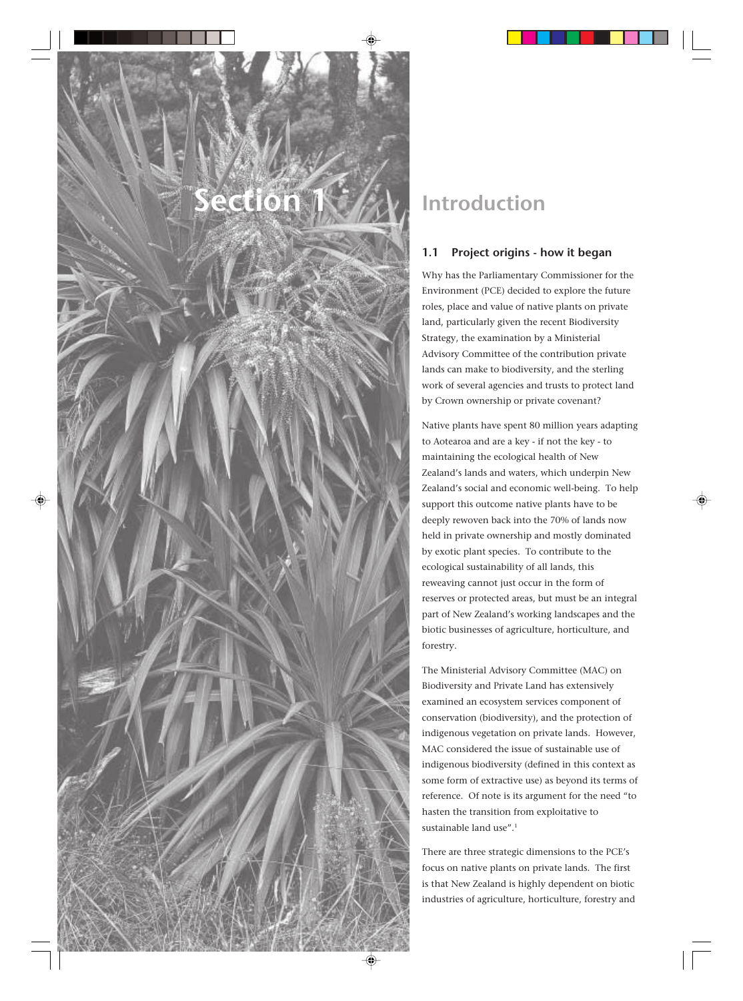

# **Introduction**

# **1.1 Project origins - how it began**

Why has the Parliamentary Commissioner for the Environment (PCE) decided to explore the future roles, place and value of native plants on private land, particularly given the recent Biodiversity Strategy, the examination by a Ministerial Advisory Committee of the contribution private lands can make to biodiversity, and the sterling work of several agencies and trusts to protect land by Crown ownership or private covenant?

Native plants have spent 80 million years adapting to Aotearoa and are a key - if not the key - to maintaining the ecological health of New Zealand's lands and waters, which underpin New Zealand's social and economic well-being. To help support this outcome native plants have to be deeply rewoven back into the 70% of lands now held in private ownership and mostly dominated by exotic plant species. To contribute to the ecological sustainability of all lands, this reweaving cannot just occur in the form of reserves or protected areas, but must be an integral part of New Zealand's working landscapes and the biotic businesses of agriculture, horticulture, and forestry.

The Ministerial Advisory Committee (MAC) on Biodiversity and Private Land has extensively examined an ecosystem services component of conservation (biodiversity), and the protection of indigenous vegetation on private lands. However, MAC considered the issue of sustainable use of indigenous biodiversity (defined in this context as some form of extractive use) as beyond its terms of reference. Of note is its argument for the need "to hasten the transition from exploitative to sustainable land use".<sup>1</sup>

There are three strategic dimensions to the PCE's focus on native plants on private lands. The first is that New Zealand is highly dependent on biotic industries of agriculture, horticulture, forestry and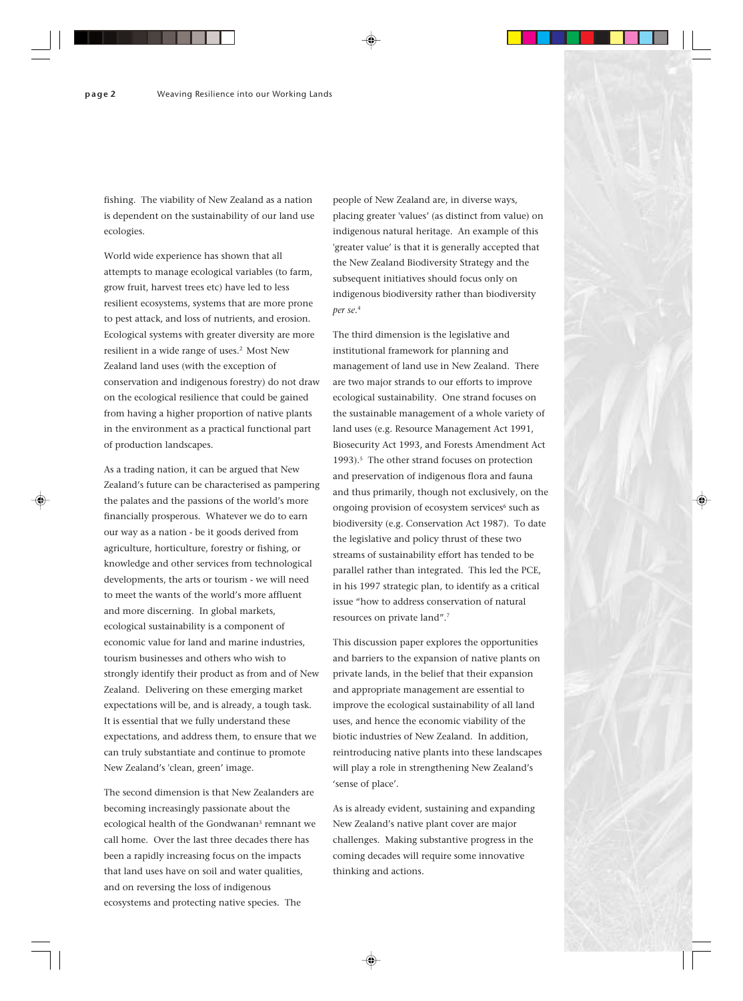fishing. The viability of New Zealand as a nation is dependent on the sustainability of our land use ecologies.

World wide experience has shown that all attempts to manage ecological variables (to farm, grow fruit, harvest trees etc) have led to less resilient ecosystems, systems that are more prone to pest attack, and loss of nutrients, and erosion. Ecological systems with greater diversity are more resilient in a wide range of uses.<sup>2</sup> Most New Zealand land uses (with the exception of conservation and indigenous forestry) do not draw on the ecological resilience that could be gained from having a higher proportion of native plants in the environment as a practical functional part of production landscapes.

As a trading nation, it can be argued that New Zealand's future can be characterised as pampering the palates and the passions of the world's more financially prosperous. Whatever we do to earn our way as a nation - be it goods derived from agriculture, horticulture, forestry or fishing, or knowledge and other services from technological developments, the arts or tourism - we will need to meet the wants of the world's more affluent and more discerning. In global markets, ecological sustainability is a component of economic value for land and marine industries, tourism businesses and others who wish to strongly identify their product as from and of New Zealand. Delivering on these emerging market expectations will be, and is already, a tough task. It is essential that we fully understand these expectations, and address them, to ensure that we can truly substantiate and continue to promote New Zealand's 'clean, green' image.

The second dimension is that New Zealanders are becoming increasingly passionate about the ecological health of the Gondwanan<sup>3</sup> remnant we call home. Over the last three decades there has been a rapidly increasing focus on the impacts that land uses have on soil and water qualities, and on reversing the loss of indigenous ecosystems and protecting native species. The

people of New Zealand are, in diverse ways, placing greater 'values' (as distinct from value) on indigenous natural heritage. An example of this 'greater value' is that it is generally accepted that the New Zealand Biodiversity Strategy and the subsequent initiatives should focus only on indigenous biodiversity rather than biodiversity *per se*. 4

The third dimension is the legislative and institutional framework for planning and management of land use in New Zealand. There are two major strands to our efforts to improve ecological sustainability. One strand focuses on the sustainable management of a whole variety of land uses (e.g. Resource Management Act 1991, Biosecurity Act 1993, and Forests Amendment Act 1993).<sup>5</sup> The other strand focuses on protection and preservation of indigenous flora and fauna and thus primarily, though not exclusively, on the ongoing provision of ecosystem services<sup>6</sup> such as biodiversity (e.g. Conservation Act 1987). To date the legislative and policy thrust of these two streams of sustainability effort has tended to be parallel rather than integrated. This led the PCE, in his 1997 strategic plan, to identify as a critical issue "how to address conservation of natural resources on private land".7

This discussion paper explores the opportunities and barriers to the expansion of native plants on private lands, in the belief that their expansion and appropriate management are essential to improve the ecological sustainability of all land uses, and hence the economic viability of the biotic industries of New Zealand. In addition, reintroducing native plants into these landscapes will play a role in strengthening New Zealand's 'sense of place'.

As is already evident, sustaining and expanding New Zealand's native plant cover are major challenges. Making substantive progress in the coming decades will require some innovative thinking and actions.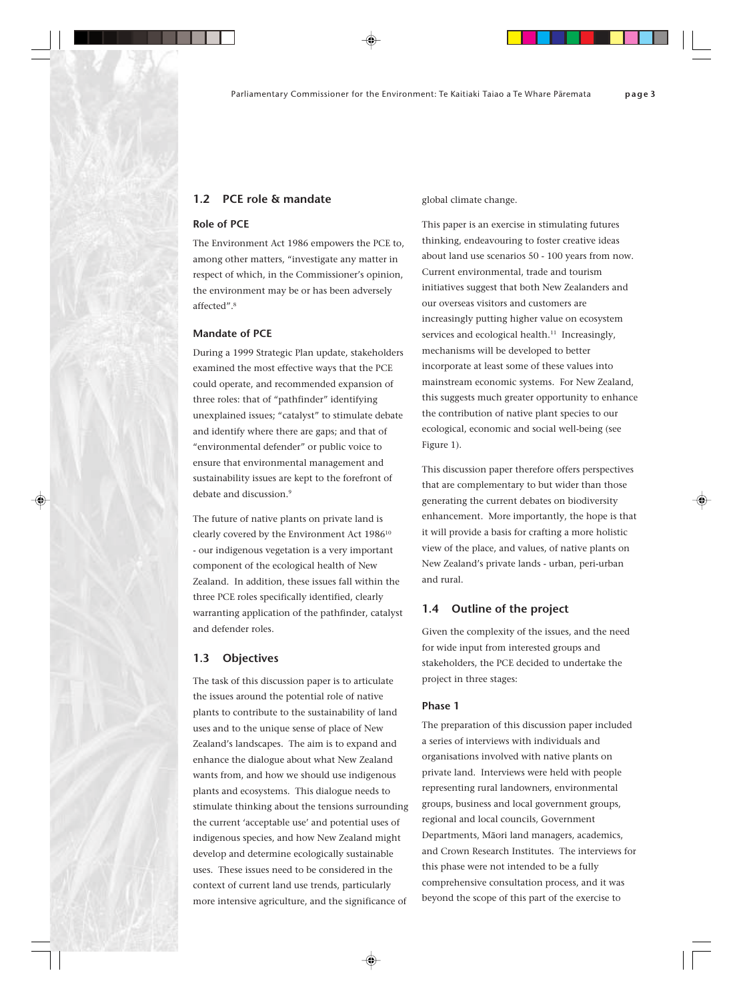# **1.2 PCE role & mandate**

#### **Role of PCE**

The Environment Act 1986 empowers the PCE to, among other matters, "investigate any matter in respect of which, in the Commissioner's opinion, the environment may be or has been adversely affected".8

## **Mandate of PCE**

During a 1999 Strategic Plan update, stakeholders examined the most effective ways that the PCE could operate, and recommended expansion of three roles: that of "pathfinder" identifying unexplained issues; "catalyst" to stimulate debate and identify where there are gaps; and that of "environmental defender" or public voice to ensure that environmental management and sustainability issues are kept to the forefront of debate and discussion.<sup>9</sup>

The future of native plants on private land is clearly covered by the Environment Act 1986<sup>10</sup> - our indigenous vegetation is a very important component of the ecological health of New Zealand. In addition, these issues fall within the three PCE roles specifically identified, clearly warranting application of the pathfinder, catalyst and defender roles.

#### **1.3 Objectives**

The task of this discussion paper is to articulate the issues around the potential role of native plants to contribute to the sustainability of land uses and to the unique sense of place of New Zealand's landscapes. The aim is to expand and enhance the dialogue about what New Zealand wants from, and how we should use indigenous plants and ecosystems. This dialogue needs to stimulate thinking about the tensions surrounding the current 'acceptable use' and potential uses of indigenous species, and how New Zealand might develop and determine ecologically sustainable uses. These issues need to be considered in the context of current land use trends, particularly more intensive agriculture, and the significance of

global climate change.

This paper is an exercise in stimulating futures thinking, endeavouring to foster creative ideas about land use scenarios 50 - 100 years from now. Current environmental, trade and tourism initiatives suggest that both New Zealanders and our overseas visitors and customers are increasingly putting higher value on ecosystem services and ecological health.<sup>11</sup> Increasingly, mechanisms will be developed to better incorporate at least some of these values into mainstream economic systems. For New Zealand, this suggests much greater opportunity to enhance the contribution of native plant species to our ecological, economic and social well-being (see Figure 1).

This discussion paper therefore offers perspectives that are complementary to but wider than those generating the current debates on biodiversity enhancement. More importantly, the hope is that it will provide a basis for crafting a more holistic view of the place, and values, of native plants on New Zealand's private lands - urban, peri-urban and rural.

### **1.4 Outline of the project**

Given the complexity of the issues, and the need for wide input from interested groups and stakeholders, the PCE decided to undertake the project in three stages:

#### **Phase 1**

The preparation of this discussion paper included a series of interviews with individuals and organisations involved with native plants on private land. Interviews were held with people representing rural landowners, environmental groups, business and local government groups, regional and local councils, Government Departments, Mäori land managers, academics, and Crown Research Institutes. The interviews for this phase were not intended to be a fully comprehensive consultation process, and it was beyond the scope of this part of the exercise to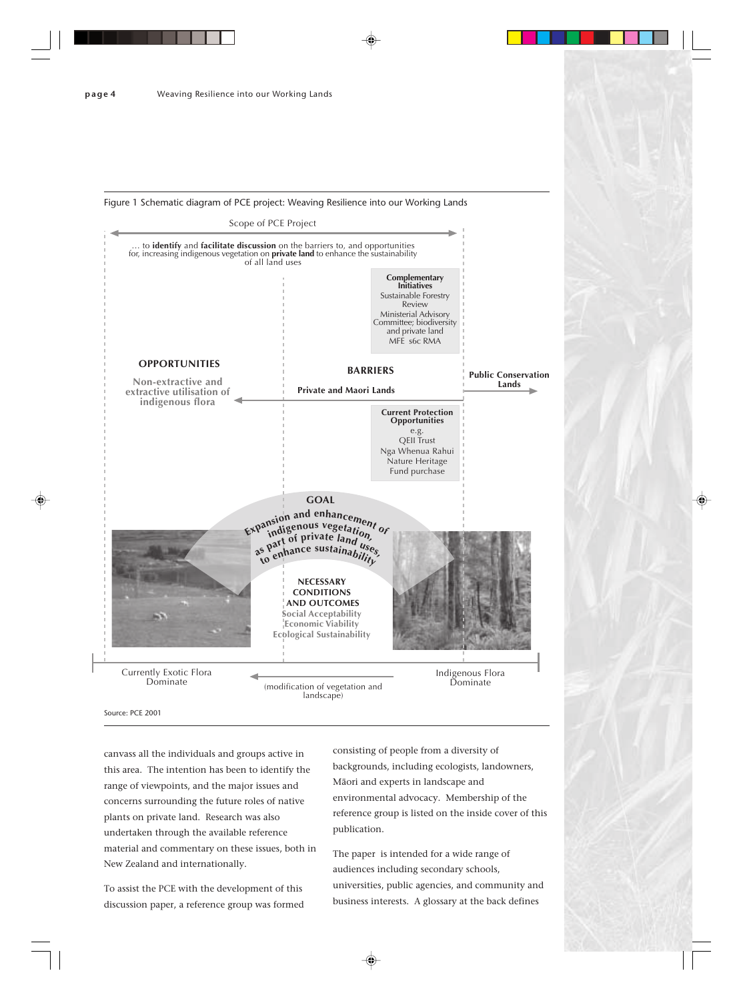

canvass all the individuals and groups active in this area. The intention has been to identify the range of viewpoints, and the major issues and concerns surrounding the future roles of native plants on private land. Research was also undertaken through the available reference material and commentary on these issues, both in New Zealand and internationally.

To assist the PCE with the development of this discussion paper, a reference group was formed consisting of people from a diversity of backgrounds, including ecologists, landowners, Mäori and experts in landscape and environmental advocacy. Membership of the reference group is listed on the inside cover of this publication.

The paper is intended for a wide range of audiences including secondary schools, universities, public agencies, and community and business interests. A glossary at the back defines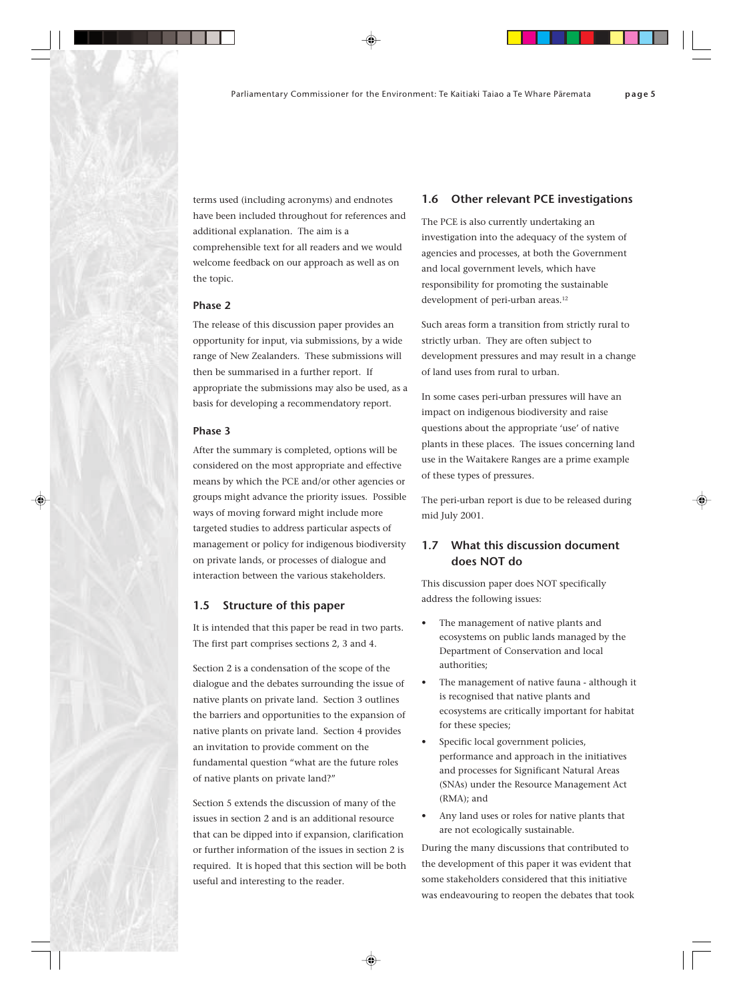terms used (including acronyms) and endnotes have been included throughout for references and additional explanation. The aim is a comprehensible text for all readers and we would welcome feedback on our approach as well as on the topic.

## **Phase 2**

The release of this discussion paper provides an opportunity for input, via submissions, by a wide range of New Zealanders. These submissions will then be summarised in a further report. If appropriate the submissions may also be used, as a basis for developing a recommendatory report.

#### **Phase 3**

After the summary is completed, options will be considered on the most appropriate and effective means by which the PCE and/or other agencies or groups might advance the priority issues. Possible ways of moving forward might include more targeted studies to address particular aspects of management or policy for indigenous biodiversity on private lands, or processes of dialogue and interaction between the various stakeholders.

#### **1.5 Structure of this paper**

It is intended that this paper be read in two parts. The first part comprises sections 2, 3 and 4.

Section 2 is a condensation of the scope of the dialogue and the debates surrounding the issue of native plants on private land. Section 3 outlines the barriers and opportunities to the expansion of native plants on private land. Section 4 provides an invitation to provide comment on the fundamental question "what are the future roles of native plants on private land?"

Section 5 extends the discussion of many of the issues in section 2 and is an additional resource that can be dipped into if expansion, clarification or further information of the issues in section 2 is required. It is hoped that this section will be both useful and interesting to the reader.

#### **1.6 Other relevant PCE investigations**

The PCE is also currently undertaking an investigation into the adequacy of the system of agencies and processes, at both the Government and local government levels, which have responsibility for promoting the sustainable development of peri-urban areas.<sup>12</sup>

Such areas form a transition from strictly rural to strictly urban. They are often subject to development pressures and may result in a change of land uses from rural to urban.

In some cases peri-urban pressures will have an impact on indigenous biodiversity and raise questions about the appropriate 'use' of native plants in these places. The issues concerning land use in the Waitakere Ranges are a prime example of these types of pressures.

The peri-urban report is due to be released during mid July 2001.

# **1.7 What this discussion document does NOT do**

This discussion paper does NOT specifically address the following issues:

- The management of native plants and ecosystems on public lands managed by the Department of Conservation and local authorities;
- The management of native fauna although it is recognised that native plants and ecosystems are critically important for habitat for these species;
- Specific local government policies, performance and approach in the initiatives and processes for Significant Natural Areas (SNAs) under the Resource Management Act (RMA); and
- Any land uses or roles for native plants that are not ecologically sustainable.

During the many discussions that contributed to the development of this paper it was evident that some stakeholders considered that this initiative was endeavouring to reopen the debates that took